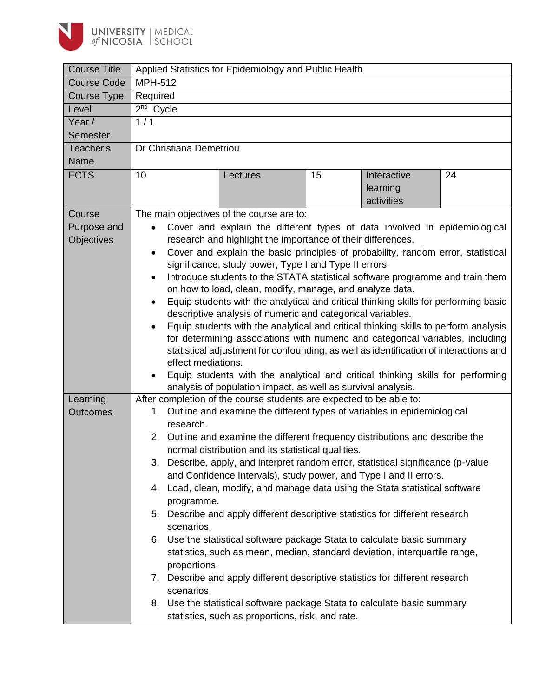

| <b>Course Title</b> | Applied Statistics for Epidemiology and Public Health                                                                                                  |                                                    |    |             |    |  |  |  |  |
|---------------------|--------------------------------------------------------------------------------------------------------------------------------------------------------|----------------------------------------------------|----|-------------|----|--|--|--|--|
| <b>Course Code</b>  | <b>MPH-512</b>                                                                                                                                         |                                                    |    |             |    |  |  |  |  |
| Course Type         | Required                                                                                                                                               |                                                    |    |             |    |  |  |  |  |
| Level               | 2 <sup>nd</sup> Cycle                                                                                                                                  |                                                    |    |             |    |  |  |  |  |
| Year /              | 1/1                                                                                                                                                    |                                                    |    |             |    |  |  |  |  |
| <b>Semester</b>     |                                                                                                                                                        |                                                    |    |             |    |  |  |  |  |
| Teacher's           | Dr Christiana Demetriou                                                                                                                                |                                                    |    |             |    |  |  |  |  |
| Name                |                                                                                                                                                        |                                                    |    |             |    |  |  |  |  |
| <b>ECTS</b>         | 10                                                                                                                                                     | Lectures                                           | 15 | Interactive | 24 |  |  |  |  |
|                     |                                                                                                                                                        |                                                    |    | learning    |    |  |  |  |  |
|                     |                                                                                                                                                        |                                                    |    | activities  |    |  |  |  |  |
| Course              | The main objectives of the course are to:                                                                                                              |                                                    |    |             |    |  |  |  |  |
| Purpose and         |                                                                                                                                                        |                                                    |    |             |    |  |  |  |  |
| Objectives          | Cover and explain the different types of data involved in epidemiological<br>research and highlight the importance of their differences.               |                                                    |    |             |    |  |  |  |  |
|                     | Cover and explain the basic principles of probability, random error, statistical<br>$\bullet$                                                          |                                                    |    |             |    |  |  |  |  |
|                     | significance, study power, Type I and Type II errors.                                                                                                  |                                                    |    |             |    |  |  |  |  |
|                     | Introduce students to the STATA statistical software programme and train them<br>$\bullet$                                                             |                                                    |    |             |    |  |  |  |  |
|                     | on how to load, clean, modify, manage, and analyze data.                                                                                               |                                                    |    |             |    |  |  |  |  |
|                     | Equip students with the analytical and critical thinking skills for performing basic                                                                   |                                                    |    |             |    |  |  |  |  |
|                     | descriptive analysis of numeric and categorical variables.                                                                                             |                                                    |    |             |    |  |  |  |  |
|                     | Equip students with the analytical and critical thinking skills to perform analysis                                                                    |                                                    |    |             |    |  |  |  |  |
|                     | for determining associations with numeric and categorical variables, including                                                                         |                                                    |    |             |    |  |  |  |  |
|                     | statistical adjustment for confounding, as well as identification of interactions and                                                                  |                                                    |    |             |    |  |  |  |  |
|                     | effect mediations.                                                                                                                                     |                                                    |    |             |    |  |  |  |  |
|                     | Equip students with the analytical and critical thinking skills for performing                                                                         |                                                    |    |             |    |  |  |  |  |
| Learning            | analysis of population impact, as well as survival analysis.                                                                                           |                                                    |    |             |    |  |  |  |  |
| <b>Outcomes</b>     | After completion of the course students are expected to be able to:                                                                                    |                                                    |    |             |    |  |  |  |  |
|                     | 1. Outline and examine the different types of variables in epidemiological<br>research.                                                                |                                                    |    |             |    |  |  |  |  |
|                     | 2. Outline and examine the different frequency distributions and describe the                                                                          |                                                    |    |             |    |  |  |  |  |
|                     |                                                                                                                                                        | normal distribution and its statistical qualities. |    |             |    |  |  |  |  |
|                     |                                                                                                                                                        |                                                    |    |             |    |  |  |  |  |
|                     | 3. Describe, apply, and interpret random error, statistical significance (p-value<br>and Confidence Intervals), study power, and Type I and II errors. |                                                    |    |             |    |  |  |  |  |
|                     | 4. Load, clean, modify, and manage data using the Stata statistical software                                                                           |                                                    |    |             |    |  |  |  |  |
|                     | programme.                                                                                                                                             |                                                    |    |             |    |  |  |  |  |
|                     | 5. Describe and apply different descriptive statistics for different research                                                                          |                                                    |    |             |    |  |  |  |  |
|                     | scenarios.                                                                                                                                             |                                                    |    |             |    |  |  |  |  |
|                     | 6. Use the statistical software package Stata to calculate basic summary                                                                               |                                                    |    |             |    |  |  |  |  |
|                     |                                                                                                                                                        |                                                    |    |             |    |  |  |  |  |
|                     | statistics, such as mean, median, standard deviation, interquartile range,<br>proportions.                                                             |                                                    |    |             |    |  |  |  |  |
|                     | 7. Describe and apply different descriptive statistics for different research                                                                          |                                                    |    |             |    |  |  |  |  |
|                     | scenarios.                                                                                                                                             |                                                    |    |             |    |  |  |  |  |
|                     | 8. Use the statistical software package Stata to calculate basic summary                                                                               |                                                    |    |             |    |  |  |  |  |
|                     | statistics, such as proportions, risk, and rate.                                                                                                       |                                                    |    |             |    |  |  |  |  |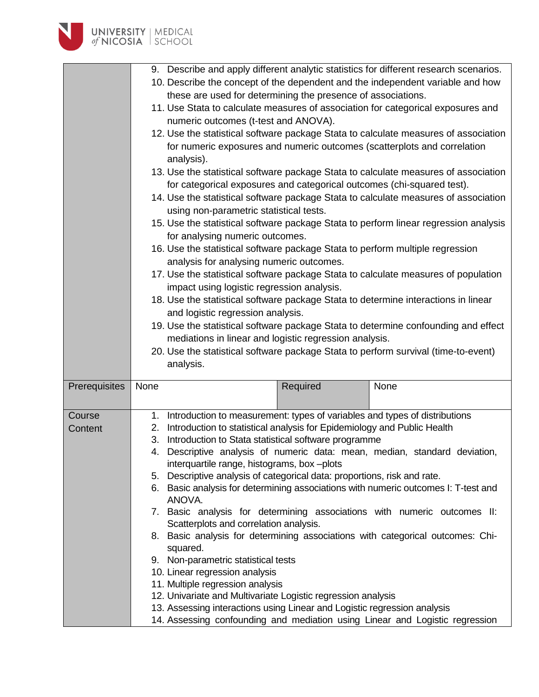

| 9. Describe and apply different analytic statistics for different research scenarios.<br>10. Describe the concept of the dependent and the independent variable and how<br>these are used for determining the presence of associations.<br>11. Use Stata to calculate measures of association for categorical exposures and<br>numeric outcomes (t-test and ANOVA).<br>12. Use the statistical software package Stata to calculate measures of association<br>for numeric exposures and numeric outcomes (scatterplots and correlation<br>analysis).<br>13. Use the statistical software package Stata to calculate measures of association<br>for categorical exposures and categorical outcomes (chi-squared test).<br>14. Use the statistical software package Stata to calculate measures of association<br>using non-parametric statistical tests.<br>15. Use the statistical software package Stata to perform linear regression analysis<br>for analysing numeric outcomes.<br>16. Use the statistical software package Stata to perform multiple regression<br>analysis for analysing numeric outcomes.<br>17. Use the statistical software package Stata to calculate measures of population<br>impact using logistic regression analysis.<br>18. Use the statistical software package Stata to determine interactions in linear<br>and logistic regression analysis.<br>19. Use the statistical software package Stata to determine confounding and effect<br>mediations in linear and logistic regression analysis.<br>20. Use the statistical software package Stata to perform survival (time-to-event) |           |      |  |  |  |  |
|----------------------------------------------------------------------------------------------------------------------------------------------------------------------------------------------------------------------------------------------------------------------------------------------------------------------------------------------------------------------------------------------------------------------------------------------------------------------------------------------------------------------------------------------------------------------------------------------------------------------------------------------------------------------------------------------------------------------------------------------------------------------------------------------------------------------------------------------------------------------------------------------------------------------------------------------------------------------------------------------------------------------------------------------------------------------------------------------------------------------------------------------------------------------------------------------------------------------------------------------------------------------------------------------------------------------------------------------------------------------------------------------------------------------------------------------------------------------------------------------------------------------------------------------------------------------------------------------------------------------|-----------|------|--|--|--|--|
| None                                                                                                                                                                                                                                                                                                                                                                                                                                                                                                                                                                                                                                                                                                                                                                                                                                                                                                                                                                                                                                                                                                                                                                                                                                                                                                                                                                                                                                                                                                                                                                                                                 | Required  | None |  |  |  |  |
| 1. Introduction to measurement: types of variables and types of distributions<br>Introduction to statistical analysis for Epidemiology and Public Health<br>2.<br>Introduction to Stata statistical software programme<br>3.<br>4. Descriptive analysis of numeric data: mean, median, standard deviation,<br>interquartile range, histograms, box-plots<br>5. Descriptive analysis of categorical data: proportions, risk and rate.<br>6. Basic analysis for determining associations with numeric outcomes I: T-test and<br>ANOVA.<br>7. Basic analysis for determining associations with numeric outcomes II:<br>Scatterplots and correlation analysis.<br>8. Basic analysis for determining associations with categorical outcomes: Chi-<br>squared.<br>9. Non-parametric statistical tests<br>10. Linear regression analysis<br>11. Multiple regression analysis<br>12. Univariate and Multivariate Logistic regression analysis<br>13. Assessing interactions using Linear and Logistic regression analysis<br>14. Assessing confounding and mediation using Linear and Logistic regression                                                                                                                                                                                                                                                                                                                                                                                                                                                                                                                    |           |      |  |  |  |  |
|                                                                                                                                                                                                                                                                                                                                                                                                                                                                                                                                                                                                                                                                                                                                                                                                                                                                                                                                                                                                                                                                                                                                                                                                                                                                                                                                                                                                                                                                                                                                                                                                                      | analysis. |      |  |  |  |  |